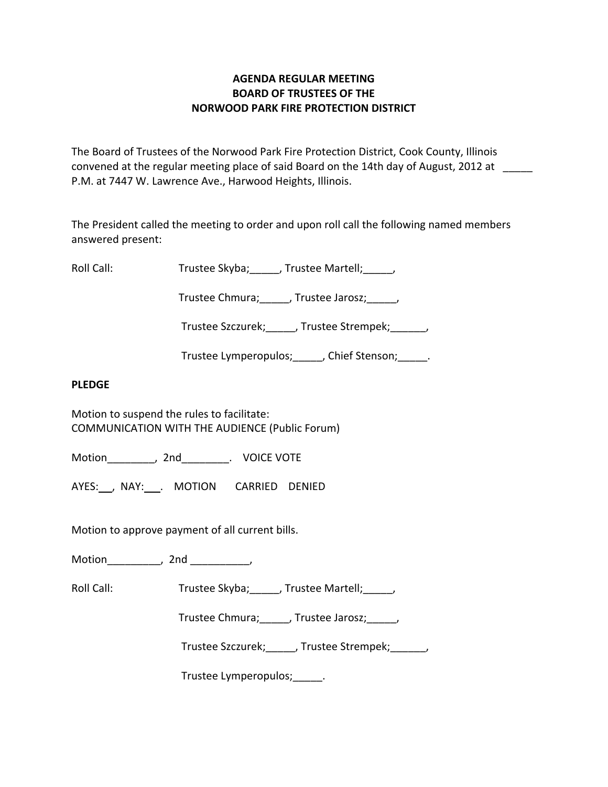# **AGENDA REGULAR MEETING BOARD OF TRUSTEES OF THE NORWOOD PARK FIRE PROTECTION DISTRICT**

The Board of Trustees of the Norwood Park Fire Protection District, Cook County, Illinois convened at the regular meeting place of said Board on the 14th day of August, 2012 at P.M. at 7447 W. Lawrence Ave., Harwood Heights, Illinois.

The President called the meeting to order and upon roll call the following named members answered present:

Roll Call: Trustee Skyba; Jrustee Martell;

Trustee Chmura; frustee Jarosz; frustee Ohmura; die Jarosz; die Jarosz; die Jarosz; die Jarosz; die J

Trustee Szczurek; frustee Strempek; frustee Strempek;

Trustee Lymperopulos; finition chief Stenson; and Trustee Lymperopulos; and Trustee Stenson;

## **PLEDGE**

Motion to suspend the rules to facilitate: COMMUNICATION WITH THE AUDIENCE (Public Forum)

Motion \_\_\_\_\_\_\_\_, 2nd \_\_\_\_\_\_\_\_. VOICE VOTE

AYES: NAY: MOTION CARRIED DENIED

Motion to approve payment of all current bills.

Motion\_\_\_\_\_\_\_\_\_, 2nd \_\_\_\_\_\_\_\_\_\_,

Roll Call: Trustee Skyba; J. Trustee Martell; Trustee Martell;

Trustee Chmura; frustee Jarosz; frustee Ohmura; die Jarosz; die Jarosz; die Jarosz; die Jarosz; die J

Trustee Szczurek; frustee Strempek; frustee Strempek;

Trustee Lymperopulos; Fig.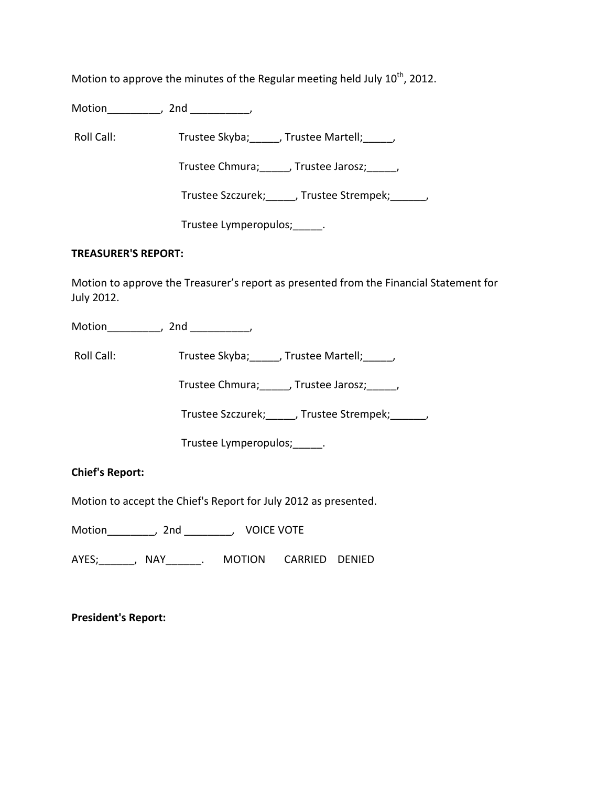Motion to approve the minutes of the Regular meeting held July  $10^{\text{th}}$ , 2012.

Motion\_\_\_\_\_\_\_\_\_, 2nd \_\_\_\_\_\_\_\_\_\_,

Roll Call: Trustee Skyba; J. Trustee Martell; Trustee Martell;

Trustee Chmura; frustee Jarosz; frustee Jarosz;

Trustee Szczurek; J. Trustee Strempek; J.

Trustee Lymperopulos;\_\_\_\_\_.

### **TREASURER'S REPORT:**

Motion to approve the Treasurer's report as presented from the Financial Statement for July 2012.

Motion the motion of the motion of the motion of the motion of the motion of the motion of the motion of the m<br>Second motion of the motion of the motion of the motion of the motion of the motion of the motion of the motio<br>

Roll Call: Trustee Skyba; J. Trustee Martell; Trustee Martell;

Trustee Chmura;\_\_\_\_\_, Trustee Jarosz;\_\_\_\_\_,

Trustee Szczurek;\_\_\_\_\_, Trustee Strempek;\_\_\_\_\_\_,

Trustee Lymperopulos;\_\_\_\_\_.

**Chief's Report:**

Motion to accept the Chief's Report for July 2012 as presented.

Motion \_\_\_\_\_\_\_\_, 2nd \_\_\_\_\_\_\_\_, VOICE VOTE

AYES;\_\_\_\_\_\_, NAY\_\_\_\_\_\_. MOTION CARRIED DENIED

**President's Report:**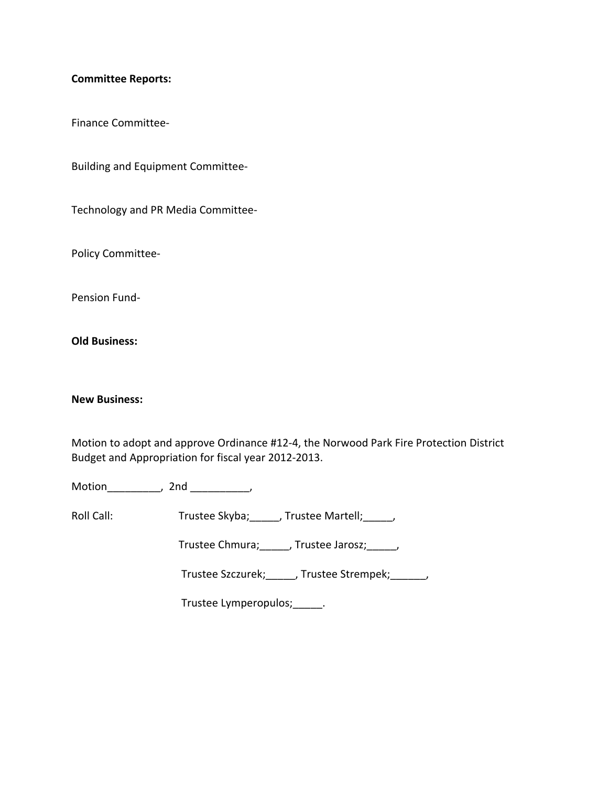### **Committee Reports:**

Finance Committee‐

Building and Equipment Committee‐

Technology and PR Media Committee‐

Policy Committee‐

Pension Fund‐

**Old Business:**

#### **New Business:**

Motion to adopt and approve Ordinance #12‐4, the Norwood Park Fire Protection District Budget and Appropriation for fiscal year 2012‐2013.

Motion\_\_\_\_\_\_\_\_\_, 2nd \_\_\_\_\_\_\_\_\_\_,

Roll Call: Trustee Skyba; \_\_\_\_\_, Trustee Martell; \_\_\_\_\_,

Trustee Chmura;\_\_\_\_\_, Trustee Jarosz;\_\_\_\_\_,

Trustee Szczurek; J. Trustee Strempek; J.

Trustee Lymperopulos;\_\_\_\_\_.